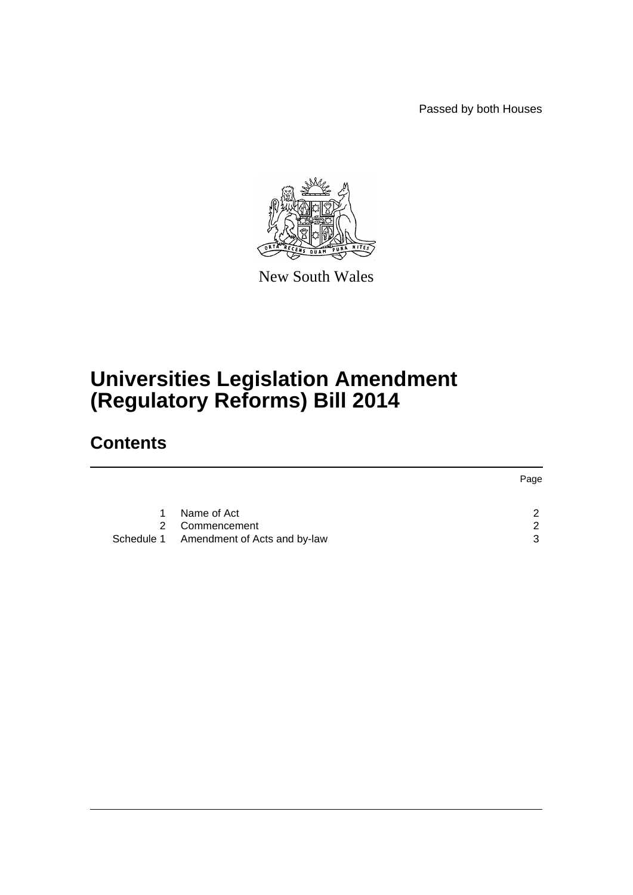Passed by both Houses



New South Wales

# **Universities Legislation Amendment (Regulatory Reforms) Bill 2014**

# **Contents**

|    |                                         | Page          |
|----|-----------------------------------------|---------------|
|    |                                         |               |
| 1. | Name of Act                             | ົາ            |
|    | 2 Commencement                          | $\mathcal{D}$ |
|    | Schedule 1 Amendment of Acts and by-law | 3             |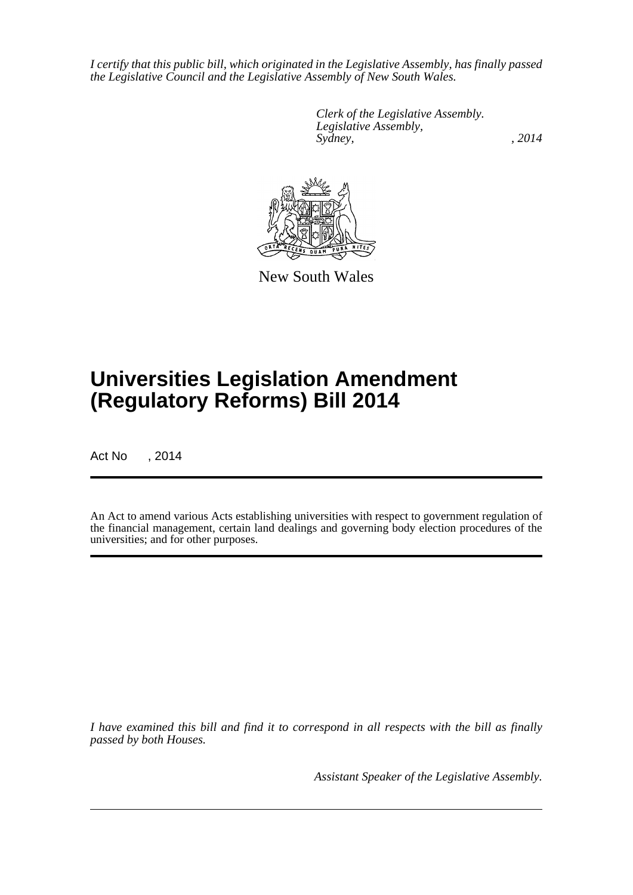*I certify that this public bill, which originated in the Legislative Assembly, has finally passed the Legislative Council and the Legislative Assembly of New South Wales.*

> *Clerk of the Legislative Assembly. Legislative Assembly, Sydney,* , 2014



New South Wales

# **Universities Legislation Amendment (Regulatory Reforms) Bill 2014**

Act No , 2014

An Act to amend various Acts establishing universities with respect to government regulation of the financial management, certain land dealings and governing body election procedures of the universities; and for other purposes.

*I have examined this bill and find it to correspond in all respects with the bill as finally passed by both Houses.*

*Assistant Speaker of the Legislative Assembly.*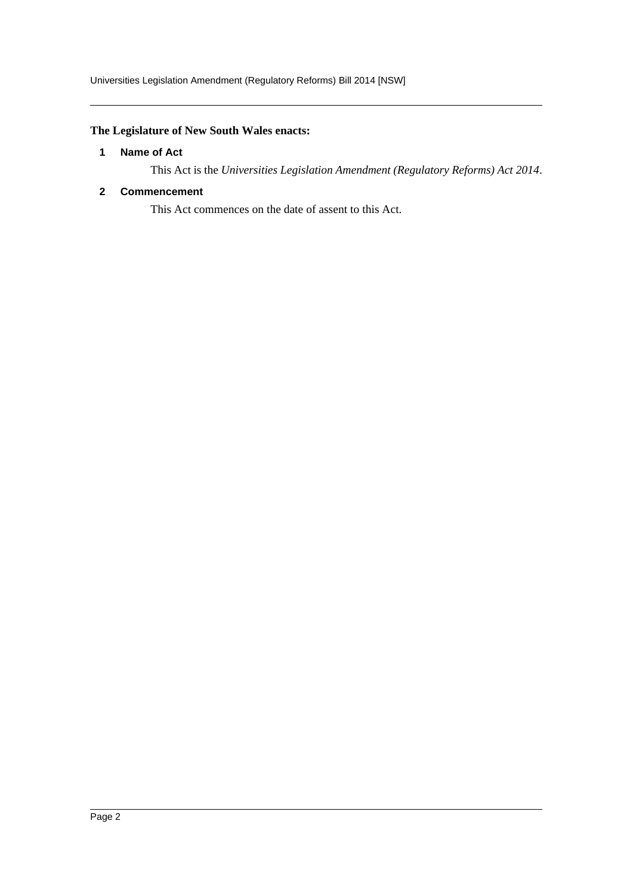# <span id="page-2-0"></span>**The Legislature of New South Wales enacts:**

### **1 Name of Act**

This Act is the *Universities Legislation Amendment (Regulatory Reforms) Act 2014*.

### <span id="page-2-1"></span>**2 Commencement**

This Act commences on the date of assent to this Act.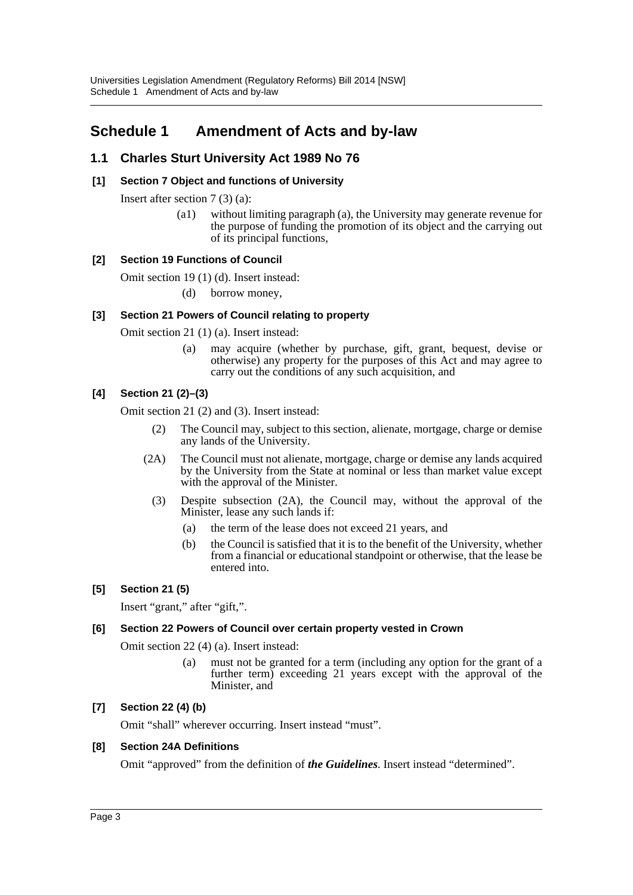# <span id="page-3-0"></span>**Schedule 1 Amendment of Acts and by-law**

# **1.1 Charles Sturt University Act 1989 No 76**

# **[1] Section 7 Object and functions of University**

Insert after section 7 (3) (a):

(a1) without limiting paragraph (a), the University may generate revenue for the purpose of funding the promotion of its object and the carrying out of its principal functions,

# **[2] Section 19 Functions of Council**

Omit section 19 (1) (d). Insert instead:

(d) borrow money,

# **[3] Section 21 Powers of Council relating to property**

Omit section 21 (1) (a). Insert instead:

(a) may acquire (whether by purchase, gift, grant, bequest, devise or otherwise) any property for the purposes of this Act and may agree to carry out the conditions of any such acquisition, and

# **[4] Section 21 (2)–(3)**

Omit section 21 (2) and (3). Insert instead:

- (2) The Council may, subject to this section, alienate, mortgage, charge or demise any lands of the University.
- (2A) The Council must not alienate, mortgage, charge or demise any lands acquired by the University from the State at nominal or less than market value except with the approval of the Minister.
	- (3) Despite subsection (2A), the Council may, without the approval of the Minister, lease any such lands if:
		- (a) the term of the lease does not exceed 21 years, and
		- (b) the Council is satisfied that it is to the benefit of the University, whether from a financial or educational standpoint or otherwise, that the lease be entered into.

# **[5] Section 21 (5)**

Insert "grant," after "gift,".

# **[6] Section 22 Powers of Council over certain property vested in Crown**

Omit section 22 (4) (a). Insert instead:

(a) must not be granted for a term (including any option for the grant of a further term) exceeding 21 years except with the approval of the Minister, and

# **[7] Section 22 (4) (b)**

Omit "shall" wherever occurring. Insert instead "must".

# **[8] Section 24A Definitions**

Omit "approved" from the definition of *the Guidelines*. Insert instead "determined".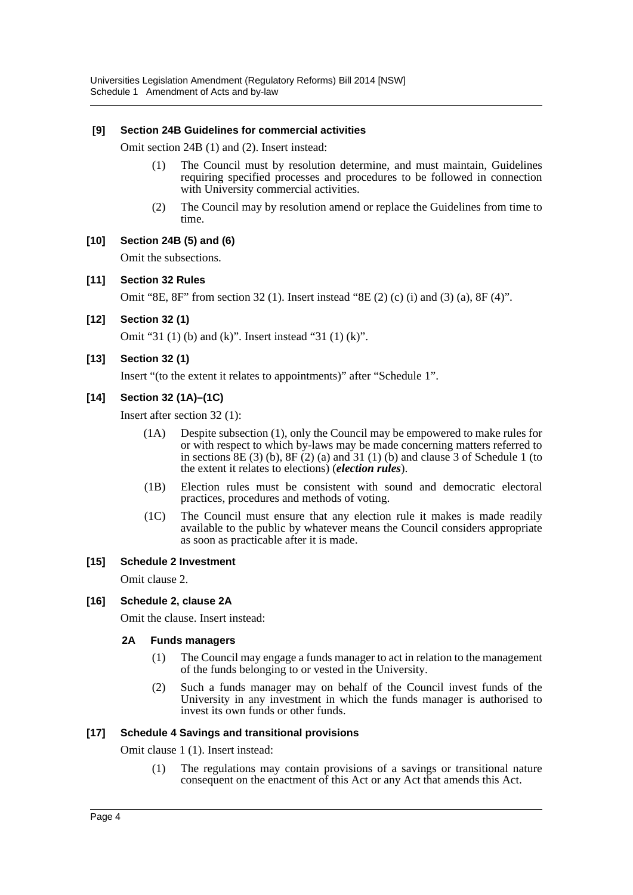#### **[9] Section 24B Guidelines for commercial activities**

Omit section 24B (1) and (2). Insert instead:

- (1) The Council must by resolution determine, and must maintain, Guidelines requiring specified processes and procedures to be followed in connection with University commercial activities.
- (2) The Council may by resolution amend or replace the Guidelines from time to time.

### **[10] Section 24B (5) and (6)**

Omit the subsections.

### **[11] Section 32 Rules**

Omit "8E,  $8F$ " from section 32 (1). Insert instead "8E (2) (c) (i) and (3) (a),  $8F(4)$ ".

**[12] Section 32 (1)**

Omit "31 (1) (b) and (k)". Insert instead "31 (1) (k)".

**[13] Section 32 (1)**

Insert "(to the extent it relates to appointments)" after "Schedule 1".

# **[14] Section 32 (1A)–(1C)**

Insert after section 32 (1):

- (1A) Despite subsection (1), only the Council may be empowered to make rules for or with respect to which by-laws may be made concerning matters referred to in sections  $8E(3)$  (b),  $8F(2)$  (a) and  $31(1)$  (b) and clause 3 of Schedule 1 (to the extent it relates to elections) (*election rules*).
- (1B) Election rules must be consistent with sound and democratic electoral practices, procedures and methods of voting.
- (1C) The Council must ensure that any election rule it makes is made readily available to the public by whatever means the Council considers appropriate as soon as practicable after it is made.

#### **[15] Schedule 2 Investment**

Omit clause 2.

#### **[16] Schedule 2, clause 2A**

Omit the clause. Insert instead:

#### **2A Funds managers**

- (1) The Council may engage a funds manager to act in relation to the management of the funds belonging to or vested in the University.
- (2) Such a funds manager may on behalf of the Council invest funds of the University in any investment in which the funds manager is authorised to invest its own funds or other funds.

#### **[17] Schedule 4 Savings and transitional provisions**

Omit clause 1 (1). Insert instead:

(1) The regulations may contain provisions of a savings or transitional nature consequent on the enactment of this Act or any Act that amends this Act.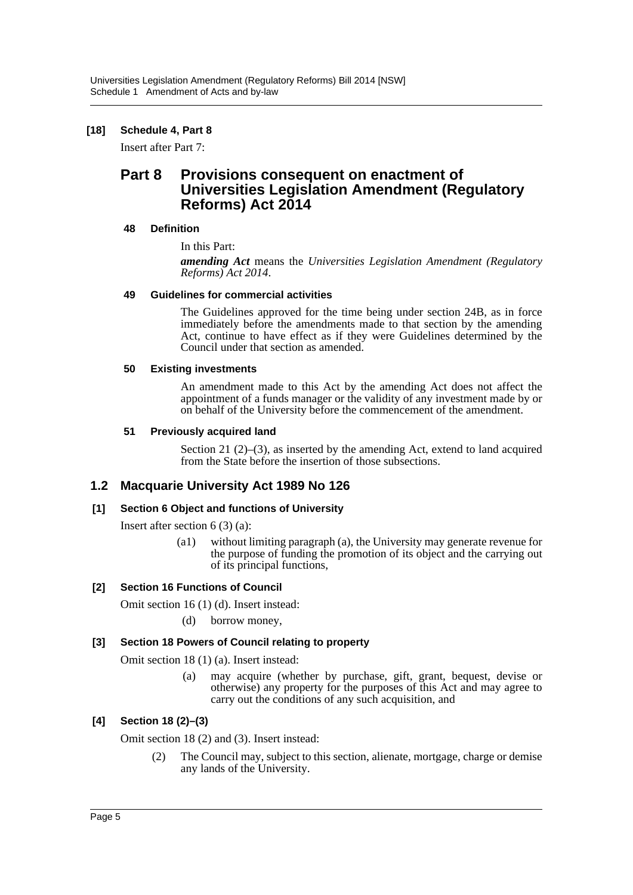## **[18] Schedule 4, Part 8**

Insert after Part 7:

# **Part 8 Provisions consequent on enactment of Universities Legislation Amendment (Regulatory Reforms) Act 2014**

#### **48 Definition**

In this Part:

*amending Act* means the *Universities Legislation Amendment (Regulatory Reforms) Act 2014*.

### **49 Guidelines for commercial activities**

The Guidelines approved for the time being under section 24B, as in force immediately before the amendments made to that section by the amending Act, continue to have effect as if they were Guidelines determined by the Council under that section as amended.

### **50 Existing investments**

An amendment made to this Act by the amending Act does not affect the appointment of a funds manager or the validity of any investment made by or on behalf of the University before the commencement of the amendment.

### **51 Previously acquired land**

Section 21 (2)–(3), as inserted by the amending Act, extend to land acquired from the State before the insertion of those subsections.

# **1.2 Macquarie University Act 1989 No 126**

# **[1] Section 6 Object and functions of University**

Insert after section 6 (3) (a):

(a1) without limiting paragraph (a), the University may generate revenue for the purpose of funding the promotion of its object and the carrying out of its principal functions,

# **[2] Section 16 Functions of Council**

Omit section 16 (1) (d). Insert instead:

(d) borrow money,

# **[3] Section 18 Powers of Council relating to property**

Omit section 18 (1) (a). Insert instead:

(a) may acquire (whether by purchase, gift, grant, bequest, devise or otherwise) any property for the purposes of this Act and may agree to carry out the conditions of any such acquisition, and

# **[4] Section 18 (2)–(3)**

Omit section 18 (2) and (3). Insert instead:

(2) The Council may, subject to this section, alienate, mortgage, charge or demise any lands of the University.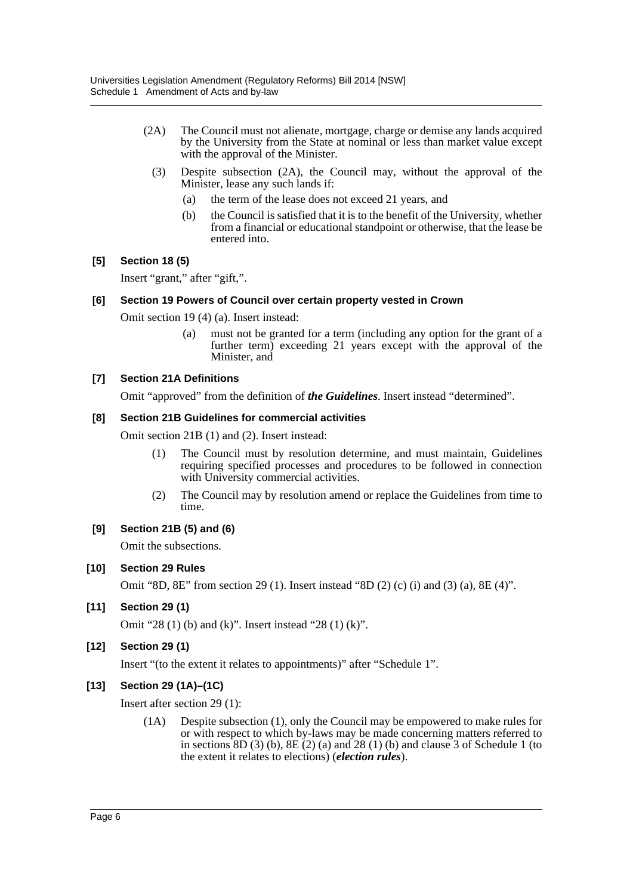- (2A) The Council must not alienate, mortgage, charge or demise any lands acquired by the University from the State at nominal or less than market value except with the approval of the Minister.
	- (3) Despite subsection (2A), the Council may, without the approval of the Minister, lease any such lands if:
		- (a) the term of the lease does not exceed 21 years, and
		- (b) the Council is satisfied that it is to the benefit of the University, whether from a financial or educational standpoint or otherwise, that the lease be entered into.

### **[5] Section 18 (5)**

Insert "grant," after "gift,".

#### **[6] Section 19 Powers of Council over certain property vested in Crown**

Omit section 19 (4) (a). Insert instead:

(a) must not be granted for a term (including any option for the grant of a further term) exceeding 21 years except with the approval of the Minister, and

### **[7] Section 21A Definitions**

Omit "approved" from the definition of *the Guidelines*. Insert instead "determined".

#### **[8] Section 21B Guidelines for commercial activities**

Omit section 21B (1) and (2). Insert instead:

- (1) The Council must by resolution determine, and must maintain, Guidelines requiring specified processes and procedures to be followed in connection with University commercial activities.
- (2) The Council may by resolution amend or replace the Guidelines from time to time.

#### **[9] Section 21B (5) and (6)**

Omit the subsections.

#### **[10] Section 29 Rules**

Omit "8D, 8E" from section 29 (1). Insert instead "8D (2) (c) (i) and (3) (a), 8E (4)".

#### **[11] Section 29 (1)**

Omit "28 (1) (b) and (k)". Insert instead "28 (1) (k)".

#### **[12] Section 29 (1)**

Insert "(to the extent it relates to appointments)" after "Schedule 1".

#### **[13] Section 29 (1A)–(1C)**

Insert after section 29 (1):

(1A) Despite subsection (1), only the Council may be empowered to make rules for or with respect to which by-laws may be made concerning matters referred to in sections  $8D(3)$  (b),  $8E(2)$  (a) and  $28(1)$  (b) and clause 3 of Schedule 1 (to the extent it relates to elections) (*election rules*).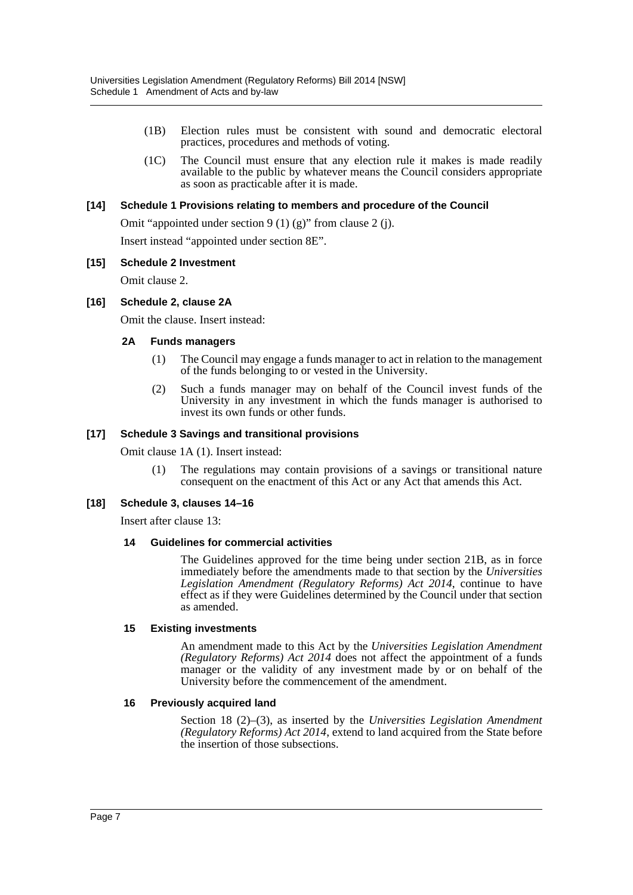- (1B) Election rules must be consistent with sound and democratic electoral practices, procedures and methods of voting.
- (1C) The Council must ensure that any election rule it makes is made readily available to the public by whatever means the Council considers appropriate as soon as practicable after it is made.

#### **[14] Schedule 1 Provisions relating to members and procedure of the Council**

Omit "appointed under section 9 (1) (g)" from clause 2 (j).

Insert instead "appointed under section 8E".

#### **[15] Schedule 2 Investment**

Omit clause 2.

#### **[16] Schedule 2, clause 2A**

Omit the clause. Insert instead:

#### **2A Funds managers**

- (1) The Council may engage a funds manager to act in relation to the management of the funds belonging to or vested in the University.
- (2) Such a funds manager may on behalf of the Council invest funds of the University in any investment in which the funds manager is authorised to invest its own funds or other funds.

#### **[17] Schedule 3 Savings and transitional provisions**

Omit clause 1A (1). Insert instead:

(1) The regulations may contain provisions of a savings or transitional nature consequent on the enactment of this Act or any Act that amends this Act.

#### **[18] Schedule 3, clauses 14–16**

Insert after clause 13:

#### **14 Guidelines for commercial activities**

The Guidelines approved for the time being under section 21B, as in force immediately before the amendments made to that section by the *Universities Legislation Amendment (Regulatory Reforms) Act 2014*, continue to have effect as if they were Guidelines determined by the Council under that section as amended.

#### **15 Existing investments**

An amendment made to this Act by the *Universities Legislation Amendment (Regulatory Reforms) Act 2014* does not affect the appointment of a funds manager or the validity of any investment made by or on behalf of the University before the commencement of the amendment.

#### **16 Previously acquired land**

Section 18 (2)–(3), as inserted by the *Universities Legislation Amendment (Regulatory Reforms) Act 2014*, extend to land acquired from the State before the insertion of those subsections.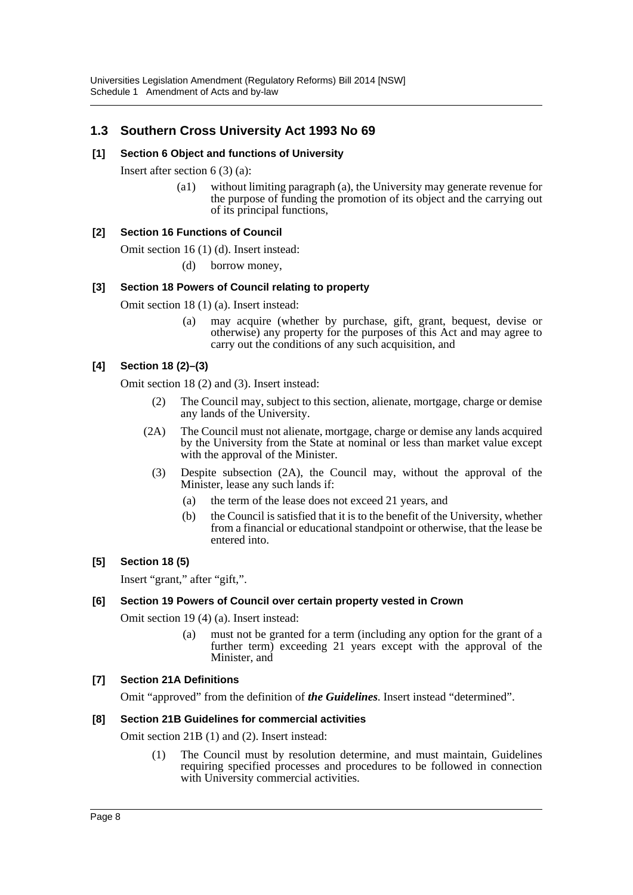# **1.3 Southern Cross University Act 1993 No 69**

#### **[1] Section 6 Object and functions of University**

Insert after section 6 (3) (a):

(a1) without limiting paragraph (a), the University may generate revenue for the purpose of funding the promotion of its object and the carrying out of its principal functions,

#### **[2] Section 16 Functions of Council**

Omit section 16 (1) (d). Insert instead:

(d) borrow money,

#### **[3] Section 18 Powers of Council relating to property**

Omit section 18 (1) (a). Insert instead:

(a) may acquire (whether by purchase, gift, grant, bequest, devise or otherwise) any property for the purposes of this Act and may agree to carry out the conditions of any such acquisition, and

### **[4] Section 18 (2)–(3)**

Omit section 18 (2) and (3). Insert instead:

- (2) The Council may, subject to this section, alienate, mortgage, charge or demise any lands of the University.
- (2A) The Council must not alienate, mortgage, charge or demise any lands acquired by the University from the State at nominal or less than market value except with the approval of the Minister.
	- (3) Despite subsection (2A), the Council may, without the approval of the Minister, lease any such lands if:
		- (a) the term of the lease does not exceed 21 years, and
		- (b) the Council is satisfied that it is to the benefit of the University, whether from a financial or educational standpoint or otherwise, that the lease be entered into.

#### **[5] Section 18 (5)**

Insert "grant," after "gift,".

#### **[6] Section 19 Powers of Council over certain property vested in Crown**

Omit section 19 (4) (a). Insert instead:

(a) must not be granted for a term (including any option for the grant of a further term) exceeding 21 years except with the approval of the Minister, and

#### **[7] Section 21A Definitions**

Omit "approved" from the definition of *the Guidelines*. Insert instead "determined".

#### **[8] Section 21B Guidelines for commercial activities**

Omit section 21B (1) and (2). Insert instead:

(1) The Council must by resolution determine, and must maintain, Guidelines requiring specified processes and procedures to be followed in connection with University commercial activities.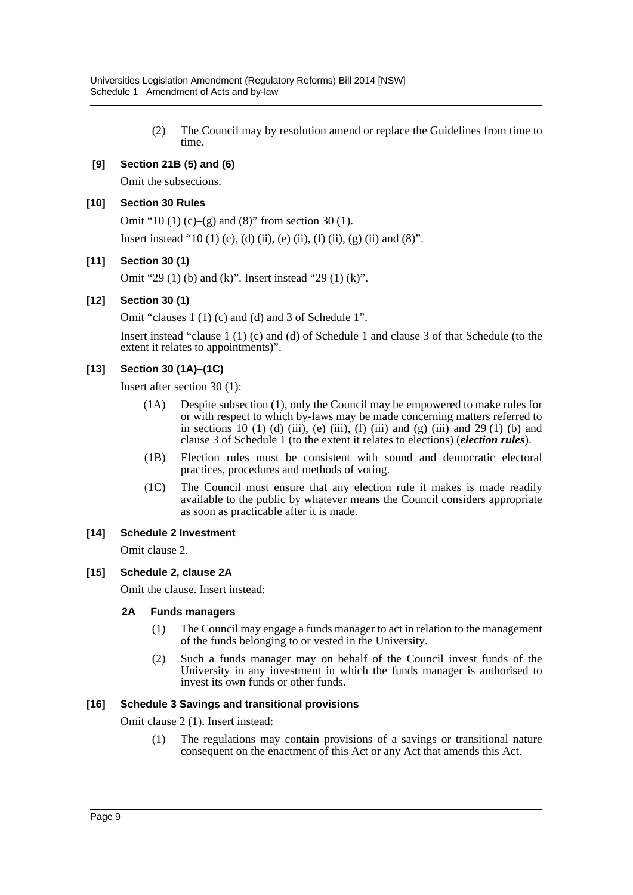(2) The Council may by resolution amend or replace the Guidelines from time to time.

# **[9] Section 21B (5) and (6)**

Omit the subsections.

## **[10] Section 30 Rules**

Omit "10 (1) (c)–(g) and (8)" from section 30 (1).

Insert instead "10 (1) (c), (d) (ii), (e) (ii), (f) (ii), (g) (ii) and (8)".

### **[11] Section 30 (1)**

Omit "29 (1) (b) and (k)". Insert instead "29 (1) (k)".

### **[12] Section 30 (1)**

Omit "clauses 1 (1) (c) and (d) and 3 of Schedule 1".

Insert instead "clause 1 (1) (c) and (d) of Schedule 1 and clause 3 of that Schedule (to the extent it relates to appointments)".

# **[13] Section 30 (1A)–(1C)**

Insert after section 30 (1):

- (1A) Despite subsection (1), only the Council may be empowered to make rules for or with respect to which by-laws may be made concerning matters referred to in sections 10 (1) (d) (iii), (e) (iii), (f) (iii) and (g) (iii) and 29 (1) (b) and clause 3 of Schedule 1 (to the extent it relates to elections) (*election rules*).
- (1B) Election rules must be consistent with sound and democratic electoral practices, procedures and methods of voting.
- (1C) The Council must ensure that any election rule it makes is made readily available to the public by whatever means the Council considers appropriate as soon as practicable after it is made.

#### **[14] Schedule 2 Investment**

Omit clause 2.

#### **[15] Schedule 2, clause 2A**

Omit the clause. Insert instead:

#### **2A Funds managers**

- (1) The Council may engage a funds manager to act in relation to the management of the funds belonging to or vested in the University.
- (2) Such a funds manager may on behalf of the Council invest funds of the University in any investment in which the funds manager is authorised to invest its own funds or other funds.

#### **[16] Schedule 3 Savings and transitional provisions**

Omit clause 2 (1). Insert instead:

(1) The regulations may contain provisions of a savings or transitional nature consequent on the enactment of this Act or any Act that amends this Act.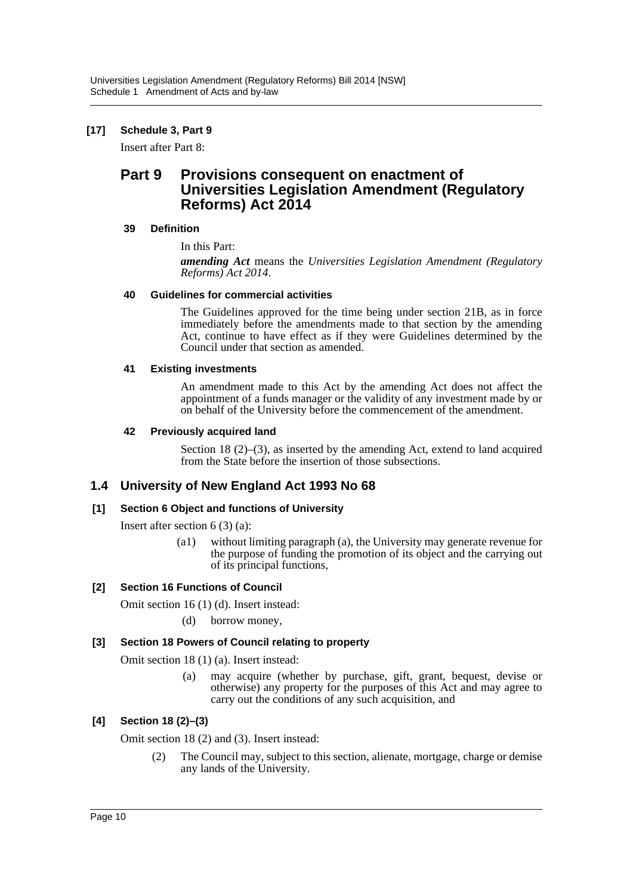# **[17] Schedule 3, Part 9**

Insert after Part 8:

# **Part 9 Provisions consequent on enactment of Universities Legislation Amendment (Regulatory Reforms) Act 2014**

#### **39 Definition**

In this Part:

*amending Act* means the *Universities Legislation Amendment (Regulatory Reforms) Act 2014*.

### **40 Guidelines for commercial activities**

The Guidelines approved for the time being under section 21B, as in force immediately before the amendments made to that section by the amending Act, continue to have effect as if they were Guidelines determined by the Council under that section as amended.

### **41 Existing investments**

An amendment made to this Act by the amending Act does not affect the appointment of a funds manager or the validity of any investment made by or on behalf of the University before the commencement of the amendment.

### **42 Previously acquired land**

Section 18 (2)–(3), as inserted by the amending Act, extend to land acquired from the State before the insertion of those subsections.

# **1.4 University of New England Act 1993 No 68**

# **[1] Section 6 Object and functions of University**

Insert after section 6 (3) (a):

(a1) without limiting paragraph (a), the University may generate revenue for the purpose of funding the promotion of its object and the carrying out of its principal functions,

# **[2] Section 16 Functions of Council**

Omit section 16 (1) (d). Insert instead:

(d) borrow money,

# **[3] Section 18 Powers of Council relating to property**

Omit section 18 (1) (a). Insert instead:

(a) may acquire (whether by purchase, gift, grant, bequest, devise or otherwise) any property for the purposes of this Act and may agree to carry out the conditions of any such acquisition, and

# **[4] Section 18 (2)–(3)**

Omit section 18 (2) and (3). Insert instead:

(2) The Council may, subject to this section, alienate, mortgage, charge or demise any lands of the University.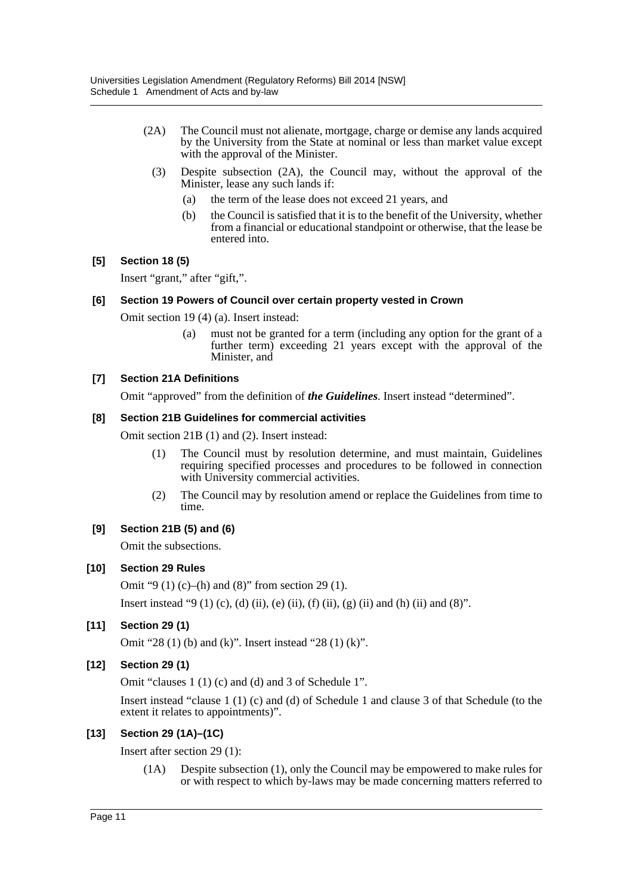- (2A) The Council must not alienate, mortgage, charge or demise any lands acquired by the University from the State at nominal or less than market value except with the approval of the Minister.
	- (3) Despite subsection (2A), the Council may, without the approval of the Minister, lease any such lands if:
		- (a) the term of the lease does not exceed 21 years, and
		- (b) the Council is satisfied that it is to the benefit of the University, whether from a financial or educational standpoint or otherwise, that the lease be entered into.

# **[5] Section 18 (5)**

Insert "grant," after "gift,".

### **[6] Section 19 Powers of Council over certain property vested in Crown**

Omit section 19 (4) (a). Insert instead:

(a) must not be granted for a term (including any option for the grant of a further term) exceeding 21 years except with the approval of the Minister, and

# **[7] Section 21A Definitions**

Omit "approved" from the definition of *the Guidelines*. Insert instead "determined".

### **[8] Section 21B Guidelines for commercial activities**

Omit section 21B (1) and (2). Insert instead:

- (1) The Council must by resolution determine, and must maintain, Guidelines requiring specified processes and procedures to be followed in connection with University commercial activities.
- (2) The Council may by resolution amend or replace the Guidelines from time to time.

# **[9] Section 21B (5) and (6)**

Omit the subsections.

# **[10] Section 29 Rules**

Omit "9 (1) (c)–(h) and (8)" from section 29 (1).

Insert instead "9 (1) (c), (d) (ii), (e) (ii), (f) (ii), (g) (ii) and (h) (ii) and (8)".

# **[11] Section 29 (1)**

Omit "28 (1) (b) and (k)". Insert instead "28 (1) (k)".

# **[12] Section 29 (1)**

Omit "clauses 1 (1) (c) and (d) and 3 of Schedule 1".

Insert instead "clause 1 (1) (c) and (d) of Schedule 1 and clause 3 of that Schedule (to the extent it relates to appointments)".

# **[13] Section 29 (1A)–(1C)**

Insert after section 29 (1):

(1A) Despite subsection (1), only the Council may be empowered to make rules for or with respect to which by-laws may be made concerning matters referred to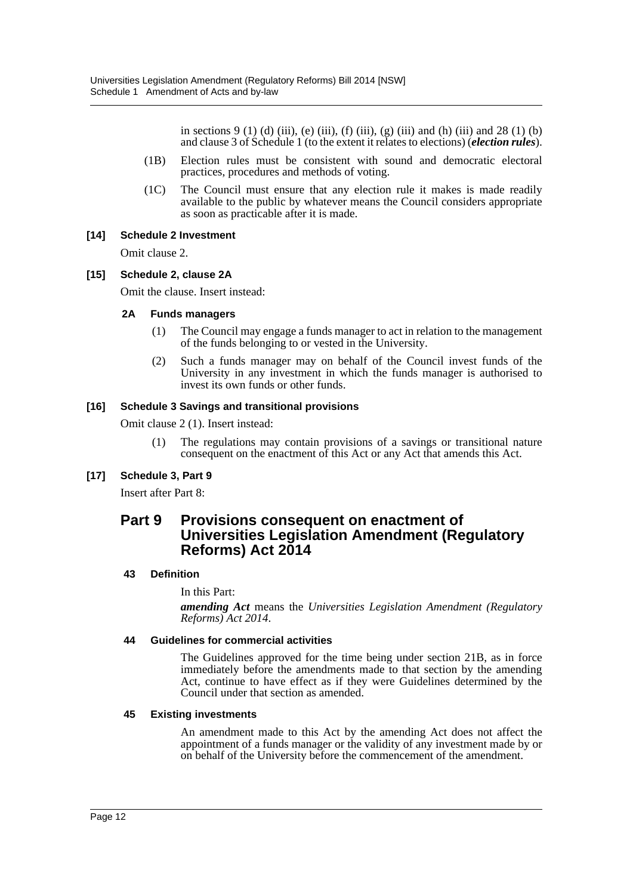in sections 9 (1) (d) (iii), (e) (iii), (f) (iii), (g) (iii) and (h) (iii) and 28 (1) (b) and clause 3 of Schedule 1 (to the extent it relates to elections) (*election rules*).

- (1B) Election rules must be consistent with sound and democratic electoral practices, procedures and methods of voting.
- (1C) The Council must ensure that any election rule it makes is made readily available to the public by whatever means the Council considers appropriate as soon as practicable after it is made.

### **[14] Schedule 2 Investment**

Omit clause 2.

#### **[15] Schedule 2, clause 2A**

Omit the clause. Insert instead:

#### **2A Funds managers**

- (1) The Council may engage a funds manager to act in relation to the management of the funds belonging to or vested in the University.
- (2) Such a funds manager may on behalf of the Council invest funds of the University in any investment in which the funds manager is authorised to invest its own funds or other funds.

#### **[16] Schedule 3 Savings and transitional provisions**

Omit clause 2 (1). Insert instead:

(1) The regulations may contain provisions of a savings or transitional nature consequent on the enactment of this Act or any Act that amends this Act.

# **[17] Schedule 3, Part 9**

Insert after Part 8:

# **Part 9 Provisions consequent on enactment of Universities Legislation Amendment (Regulatory Reforms) Act 2014**

#### **43 Definition**

In this Part:

*amending Act* means the *Universities Legislation Amendment (Regulatory Reforms) Act 2014*.

#### **44 Guidelines for commercial activities**

The Guidelines approved for the time being under section 21B, as in force immediately before the amendments made to that section by the amending Act, continue to have effect as if they were Guidelines determined by the Council under that section as amended.

#### **45 Existing investments**

An amendment made to this Act by the amending Act does not affect the appointment of a funds manager or the validity of any investment made by or on behalf of the University before the commencement of the amendment.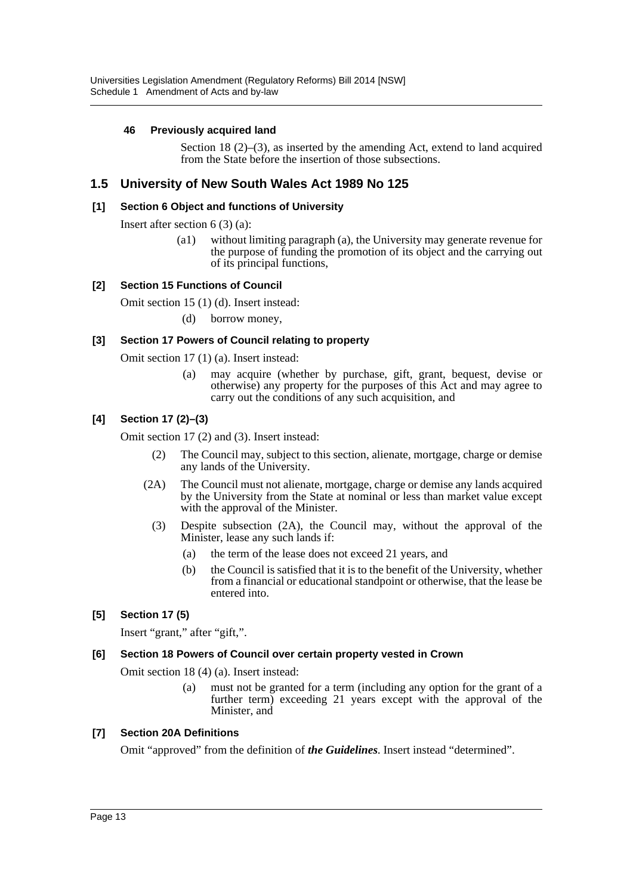## **46 Previously acquired land**

Section 18 (2)–(3), as inserted by the amending Act, extend to land acquired from the State before the insertion of those subsections.

# **1.5 University of New South Wales Act 1989 No 125**

#### **[1] Section 6 Object and functions of University**

Insert after section 6 (3) (a):

(a1) without limiting paragraph (a), the University may generate revenue for the purpose of funding the promotion of its object and the carrying out of its principal functions,

### **[2] Section 15 Functions of Council**

Omit section 15 (1) (d). Insert instead:

(d) borrow money,

#### **[3] Section 17 Powers of Council relating to property**

Omit section 17 (1) (a). Insert instead:

(a) may acquire (whether by purchase, gift, grant, bequest, devise or otherwise) any property for the purposes of this Act and may agree to carry out the conditions of any such acquisition, and

### **[4] Section 17 (2)–(3)**

Omit section 17 (2) and (3). Insert instead:

- (2) The Council may, subject to this section, alienate, mortgage, charge or demise any lands of the University.
- (2A) The Council must not alienate, mortgage, charge or demise any lands acquired by the University from the State at nominal or less than market value except with the approval of the Minister.
	- (3) Despite subsection (2A), the Council may, without the approval of the Minister, lease any such lands if:
		- (a) the term of the lease does not exceed 21 years, and
		- (b) the Council is satisfied that it is to the benefit of the University, whether from a financial or educational standpoint or otherwise, that the lease be entered into.

#### **[5] Section 17 (5)**

Insert "grant," after "gift,".

#### **[6] Section 18 Powers of Council over certain property vested in Crown**

Omit section 18 (4) (a). Insert instead:

(a) must not be granted for a term (including any option for the grant of a further term) exceeding 21 years except with the approval of the Minister, and

#### **[7] Section 20A Definitions**

Omit "approved" from the definition of *the Guidelines*. Insert instead "determined".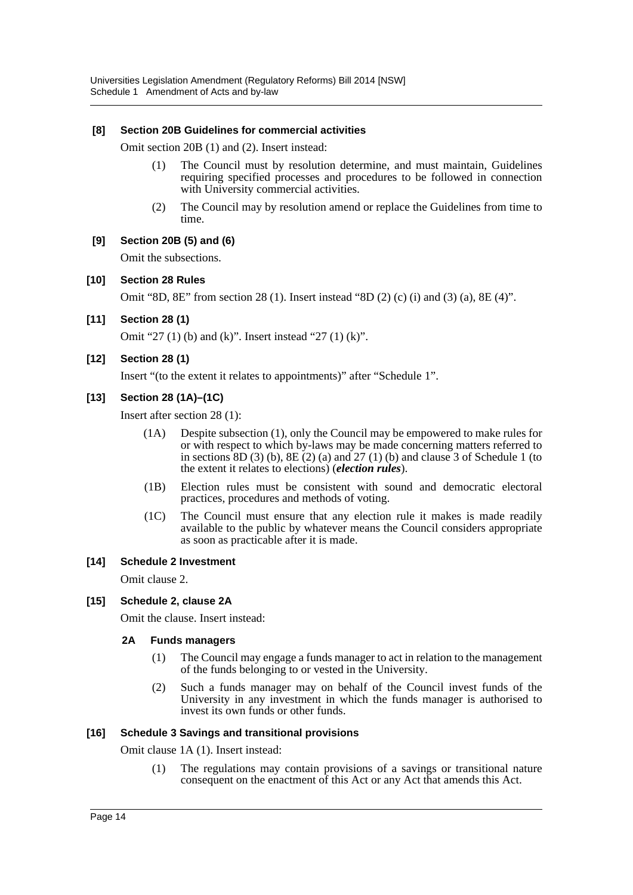#### **[8] Section 20B Guidelines for commercial activities**

Omit section 20B (1) and (2). Insert instead:

- (1) The Council must by resolution determine, and must maintain, Guidelines requiring specified processes and procedures to be followed in connection with University commercial activities.
- (2) The Council may by resolution amend or replace the Guidelines from time to time.

#### **[9] Section 20B (5) and (6)**

Omit the subsections.

#### **[10] Section 28 Rules**

Omit "8D, 8E" from section 28 (1). Insert instead "8D (2) (c) (i) and (3) (a), 8E (4)".

**[11] Section 28 (1)**

Omit "27 (1) (b) and (k)". Insert instead "27 (1) (k)".

### **[12] Section 28 (1)**

Insert "(to the extent it relates to appointments)" after "Schedule 1".

### **[13] Section 28 (1A)–(1C)**

Insert after section 28 (1):

- (1A) Despite subsection (1), only the Council may be empowered to make rules for or with respect to which by-laws may be made concerning matters referred to in sections  $8D(3)$  (b),  $8E(2)$  (a) and  $27(1)$  (b) and clause 3 of Schedule 1 (to the extent it relates to elections) (*election rules*).
- (1B) Election rules must be consistent with sound and democratic electoral practices, procedures and methods of voting.
- (1C) The Council must ensure that any election rule it makes is made readily available to the public by whatever means the Council considers appropriate as soon as practicable after it is made.

#### **[14] Schedule 2 Investment**

Omit clause 2.

#### **[15] Schedule 2, clause 2A**

Omit the clause. Insert instead:

#### **2A Funds managers**

- (1) The Council may engage a funds manager to act in relation to the management of the funds belonging to or vested in the University.
- (2) Such a funds manager may on behalf of the Council invest funds of the University in any investment in which the funds manager is authorised to invest its own funds or other funds.

#### **[16] Schedule 3 Savings and transitional provisions**

Omit clause 1A (1). Insert instead:

(1) The regulations may contain provisions of a savings or transitional nature consequent on the enactment of this Act or any Act that amends this Act.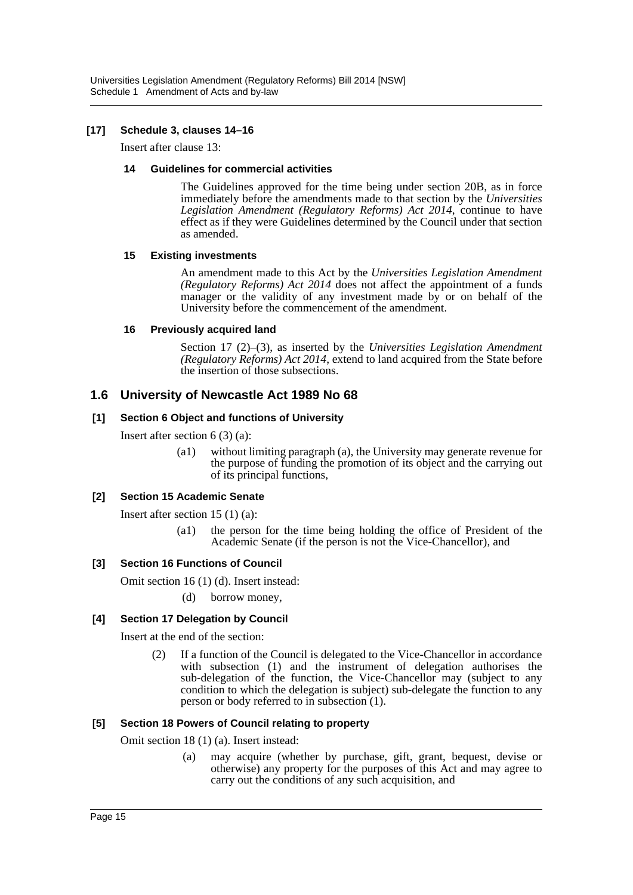# **[17] Schedule 3, clauses 14–16**

Insert after clause 13:

### **14 Guidelines for commercial activities**

The Guidelines approved for the time being under section 20B, as in force immediately before the amendments made to that section by the *Universities Legislation Amendment (Regulatory Reforms) Act 2014*, continue to have effect as if they were Guidelines determined by the Council under that section as amended.

### **15 Existing investments**

An amendment made to this Act by the *Universities Legislation Amendment (Regulatory Reforms) Act 2014* does not affect the appointment of a funds manager or the validity of any investment made by or on behalf of the University before the commencement of the amendment.

# **16 Previously acquired land**

Section 17 (2)–(3), as inserted by the *Universities Legislation Amendment (Regulatory Reforms) Act 2014*, extend to land acquired from the State before the insertion of those subsections.

# **1.6 University of Newcastle Act 1989 No 68**

# **[1] Section 6 Object and functions of University**

Insert after section 6 (3) (a):

(a1) without limiting paragraph (a), the University may generate revenue for the purpose of funding the promotion of its object and the carrying out of its principal functions,

# **[2] Section 15 Academic Senate**

Insert after section 15 (1) (a):

(a1) the person for the time being holding the office of President of the Academic Senate (if the person is not the Vice-Chancellor), and

# **[3] Section 16 Functions of Council**

Omit section 16 (1) (d). Insert instead:

(d) borrow money,

# **[4] Section 17 Delegation by Council**

Insert at the end of the section:

(2) If a function of the Council is delegated to the Vice-Chancellor in accordance with subsection (1) and the instrument of delegation authorises the sub-delegation of the function, the Vice-Chancellor may (subject to any condition to which the delegation is subject) sub-delegate the function to any person or body referred to in subsection (1).

# **[5] Section 18 Powers of Council relating to property**

Omit section 18 (1) (a). Insert instead:

(a) may acquire (whether by purchase, gift, grant, bequest, devise or otherwise) any property for the purposes of this Act and may agree to carry out the conditions of any such acquisition, and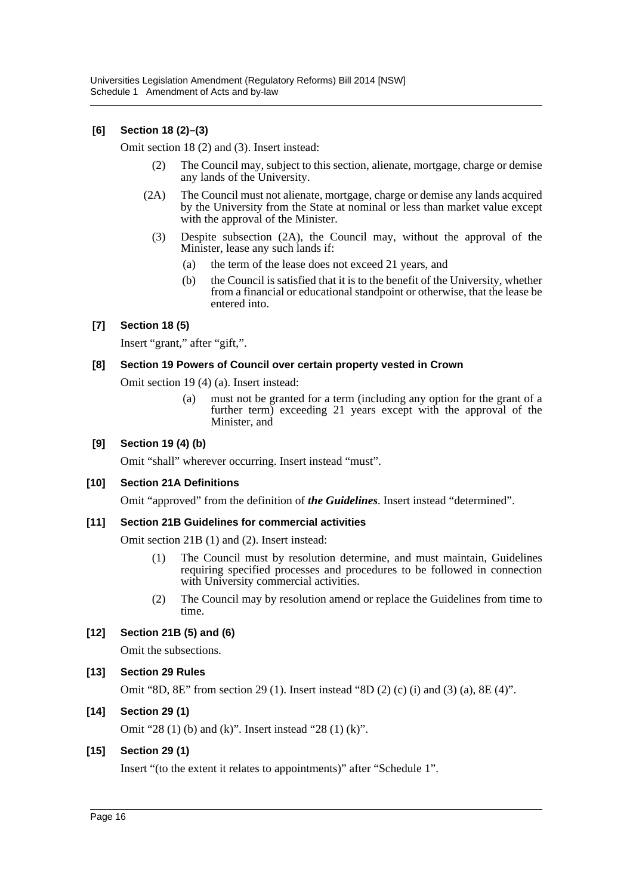# **[6] Section 18 (2)–(3)**

Omit section 18 (2) and (3). Insert instead:

- (2) The Council may, subject to this section, alienate, mortgage, charge or demise any lands of the University.
- (2A) The Council must not alienate, mortgage, charge or demise any lands acquired by the University from the State at nominal or less than market value except with the approval of the Minister.
	- (3) Despite subsection (2A), the Council may, without the approval of the Minister, lease any such lands if:
		- (a) the term of the lease does not exceed 21 years, and
		- (b) the Council is satisfied that it is to the benefit of the University, whether from a financial or educational standpoint or otherwise, that the lease be entered into.

# **[7] Section 18 (5)**

Insert "grant," after "gift,".

#### **[8] Section 19 Powers of Council over certain property vested in Crown**

Omit section 19 (4) (a). Insert instead:

(a) must not be granted for a term (including any option for the grant of a further term) exceeding 21 years except with the approval of the Minister, and

#### **[9] Section 19 (4) (b)**

Omit "shall" wherever occurring. Insert instead "must".

#### **[10] Section 21A Definitions**

Omit "approved" from the definition of *the Guidelines*. Insert instead "determined".

#### **[11] Section 21B Guidelines for commercial activities**

Omit section 21B (1) and (2). Insert instead:

- (1) The Council must by resolution determine, and must maintain, Guidelines requiring specified processes and procedures to be followed in connection with University commercial activities.
- (2) The Council may by resolution amend or replace the Guidelines from time to time.

#### **[12] Section 21B (5) and (6)**

Omit the subsections.

#### **[13] Section 29 Rules**

Omit "8D, 8E" from section 29 (1). Insert instead "8D (2) (c) (i) and (3) (a), 8E (4)".

#### **[14] Section 29 (1)**

Omit "28 (1) (b) and (k)". Insert instead "28 (1) (k)".

#### **[15] Section 29 (1)**

Insert "(to the extent it relates to appointments)" after "Schedule 1".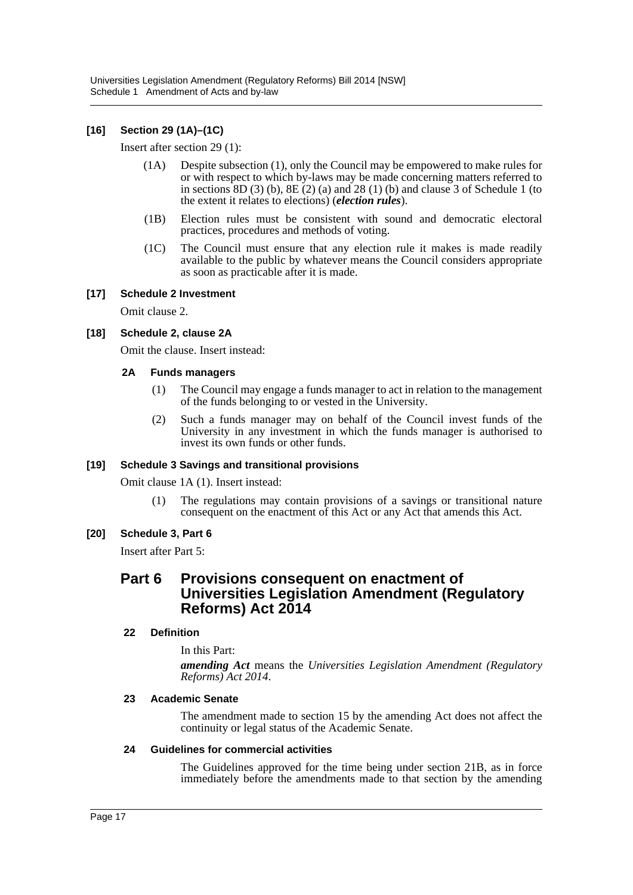# **[16] Section 29 (1A)–(1C)**

Insert after section 29 (1):

- (1A) Despite subsection (1), only the Council may be empowered to make rules for or with respect to which by-laws may be made concerning matters referred to in sections  $8D(3)$  (b),  $8E(2)$  (a) and  $28(1)$  (b) and clause 3 of Schedule 1 (to the extent it relates to elections) (*election rules*).
- (1B) Election rules must be consistent with sound and democratic electoral practices, procedures and methods of voting.
- (1C) The Council must ensure that any election rule it makes is made readily available to the public by whatever means the Council considers appropriate as soon as practicable after it is made.

#### **[17] Schedule 2 Investment**

Omit clause 2.

### **[18] Schedule 2, clause 2A**

Omit the clause. Insert instead:

#### **2A Funds managers**

- (1) The Council may engage a funds manager to act in relation to the management of the funds belonging to or vested in the University.
- (2) Such a funds manager may on behalf of the Council invest funds of the University in any investment in which the funds manager is authorised to invest its own funds or other funds.

#### **[19] Schedule 3 Savings and transitional provisions**

Omit clause 1A (1). Insert instead:

(1) The regulations may contain provisions of a savings or transitional nature consequent on the enactment of this Act or any Act that amends this Act.

#### **[20] Schedule 3, Part 6**

Insert after Part 5:

# **Part 6 Provisions consequent on enactment of Universities Legislation Amendment (Regulatory Reforms) Act 2014**

#### **22 Definition**

In this Part:

*amending Act* means the *Universities Legislation Amendment (Regulatory Reforms) Act 2014*.

#### **23 Academic Senate**

The amendment made to section 15 by the amending Act does not affect the continuity or legal status of the Academic Senate.

#### **24 Guidelines for commercial activities**

The Guidelines approved for the time being under section 21B, as in force immediately before the amendments made to that section by the amending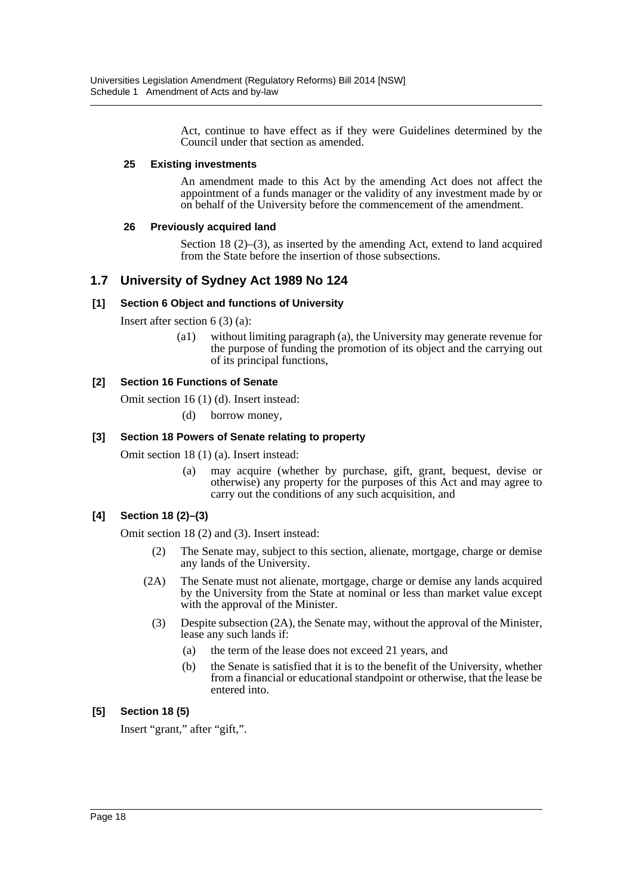Act, continue to have effect as if they were Guidelines determined by the Council under that section as amended.

#### **25 Existing investments**

An amendment made to this Act by the amending Act does not affect the appointment of a funds manager or the validity of any investment made by or on behalf of the University before the commencement of the amendment.

### **26 Previously acquired land**

Section 18  $(2)$ – $(3)$ , as inserted by the amending Act, extend to land acquired from the State before the insertion of those subsections.

# **1.7 University of Sydney Act 1989 No 124**

### **[1] Section 6 Object and functions of University**

Insert after section 6 (3) (a):

(a1) without limiting paragraph (a), the University may generate revenue for the purpose of funding the promotion of its object and the carrying out of its principal functions,

### **[2] Section 16 Functions of Senate**

Omit section 16 (1) (d). Insert instead:

(d) borrow money,

### **[3] Section 18 Powers of Senate relating to property**

Omit section 18 (1) (a). Insert instead:

(a) may acquire (whether by purchase, gift, grant, bequest, devise or otherwise) any property for the purposes of this Act and may agree to carry out the conditions of any such acquisition, and

# **[4] Section 18 (2)–(3)**

Omit section 18 (2) and (3). Insert instead:

- (2) The Senate may, subject to this section, alienate, mortgage, charge or demise any lands of the University.
- (2A) The Senate must not alienate, mortgage, charge or demise any lands acquired by the University from the State at nominal or less than market value except with the approval of the Minister.
	- (3) Despite subsection (2A), the Senate may, without the approval of the Minister, lease any such lands if:
		- (a) the term of the lease does not exceed 21 years, and
		- (b) the Senate is satisfied that it is to the benefit of the University, whether from a financial or educational standpoint or otherwise, that the lease be entered into.

# **[5] Section 18 (5)**

Insert "grant," after "gift,".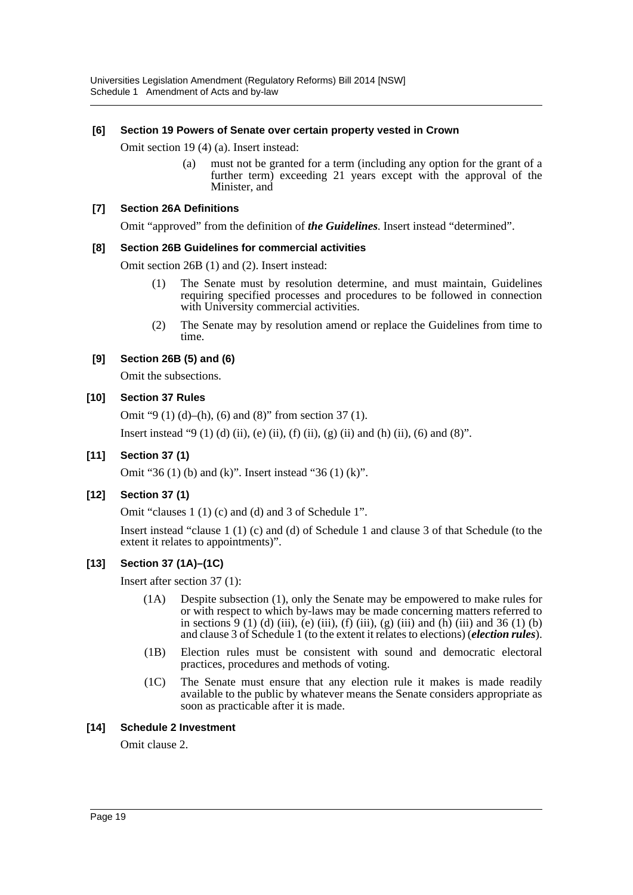## **[6] Section 19 Powers of Senate over certain property vested in Crown**

Omit section 19 (4) (a). Insert instead:

(a) must not be granted for a term (including any option for the grant of a further term) exceeding 21 years except with the approval of the Minister, and

#### **[7] Section 26A Definitions**

Omit "approved" from the definition of *the Guidelines*. Insert instead "determined".

### **[8] Section 26B Guidelines for commercial activities**

Omit section 26B (1) and (2). Insert instead:

- (1) The Senate must by resolution determine, and must maintain, Guidelines requiring specified processes and procedures to be followed in connection with University commercial activities.
- (2) The Senate may by resolution amend or replace the Guidelines from time to time.

# **[9] Section 26B (5) and (6)**

Omit the subsections.

# **[10] Section 37 Rules**

Omit "9 (1) (d)–(h), (6) and (8)" from section 37 (1).

Insert instead "9 (1) (d) (ii), (e) (ii), (f) (ii), (g) (ii) and (h) (ii), (6) and (8)".

# **[11] Section 37 (1)**

Omit "36 (1) (b) and (k)". Insert instead "36 (1) (k)".

# **[12] Section 37 (1)**

Omit "clauses 1 (1) (c) and (d) and 3 of Schedule 1".

Insert instead "clause 1 (1) (c) and (d) of Schedule 1 and clause 3 of that Schedule (to the extent it relates to appointments)".

# **[13] Section 37 (1A)–(1C)**

Insert after section 37 (1):

- (1A) Despite subsection (1), only the Senate may be empowered to make rules for or with respect to which by-laws may be made concerning matters referred to in sections 9 (1) (d) (iii), (e) (iii), (f) (iii), (g) (iii) and (h) (iii) and 36 (1) (b) and clause 3 of Schedule 1 (to the extent it relates to elections) (*election rules*).
- (1B) Election rules must be consistent with sound and democratic electoral practices, procedures and methods of voting.
- (1C) The Senate must ensure that any election rule it makes is made readily available to the public by whatever means the Senate considers appropriate as soon as practicable after it is made.

#### **[14] Schedule 2 Investment**

Omit clause 2.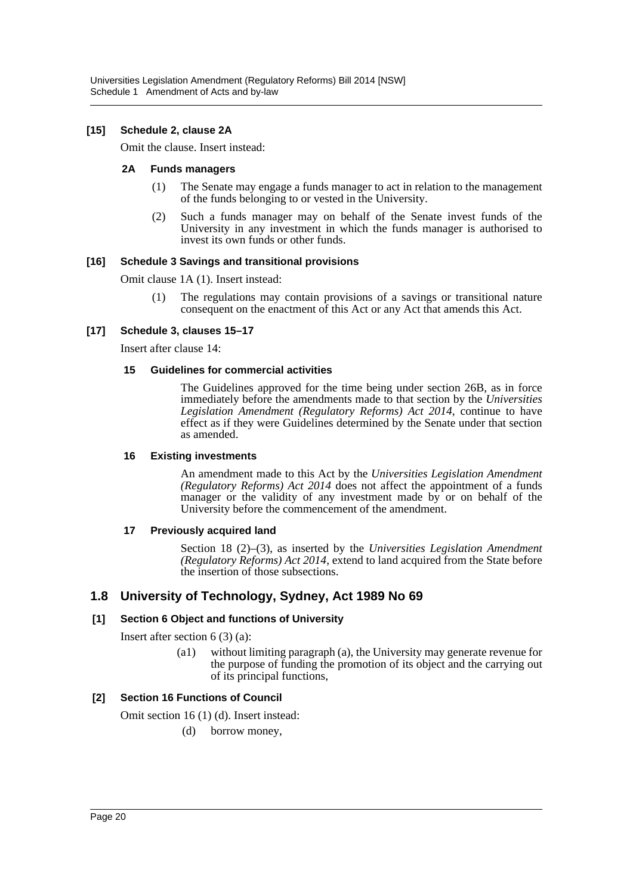#### **[15] Schedule 2, clause 2A**

Omit the clause. Insert instead:

#### **2A Funds managers**

- (1) The Senate may engage a funds manager to act in relation to the management of the funds belonging to or vested in the University.
- (2) Such a funds manager may on behalf of the Senate invest funds of the University in any investment in which the funds manager is authorised to invest its own funds or other funds.

#### **[16] Schedule 3 Savings and transitional provisions**

Omit clause 1A (1). Insert instead:

(1) The regulations may contain provisions of a savings or transitional nature consequent on the enactment of this Act or any Act that amends this Act.

#### **[17] Schedule 3, clauses 15–17**

Insert after clause 14:

#### **15 Guidelines for commercial activities**

The Guidelines approved for the time being under section 26B, as in force immediately before the amendments made to that section by the *Universities Legislation Amendment (Regulatory Reforms) Act 2014*, continue to have effect as if they were Guidelines determined by the Senate under that section as amended.

#### **16 Existing investments**

An amendment made to this Act by the *Universities Legislation Amendment (Regulatory Reforms) Act 2014* does not affect the appointment of a funds manager or the validity of any investment made by or on behalf of the University before the commencement of the amendment.

#### **17 Previously acquired land**

Section 18 (2)–(3), as inserted by the *Universities Legislation Amendment (Regulatory Reforms) Act 2014*, extend to land acquired from the State before the insertion of those subsections.

# **1.8 University of Technology, Sydney, Act 1989 No 69**

#### **[1] Section 6 Object and functions of University**

Insert after section 6 (3) (a):

(a1) without limiting paragraph (a), the University may generate revenue for the purpose of funding the promotion of its object and the carrying out of its principal functions,

#### **[2] Section 16 Functions of Council**

Omit section 16 (1) (d). Insert instead:

(d) borrow money,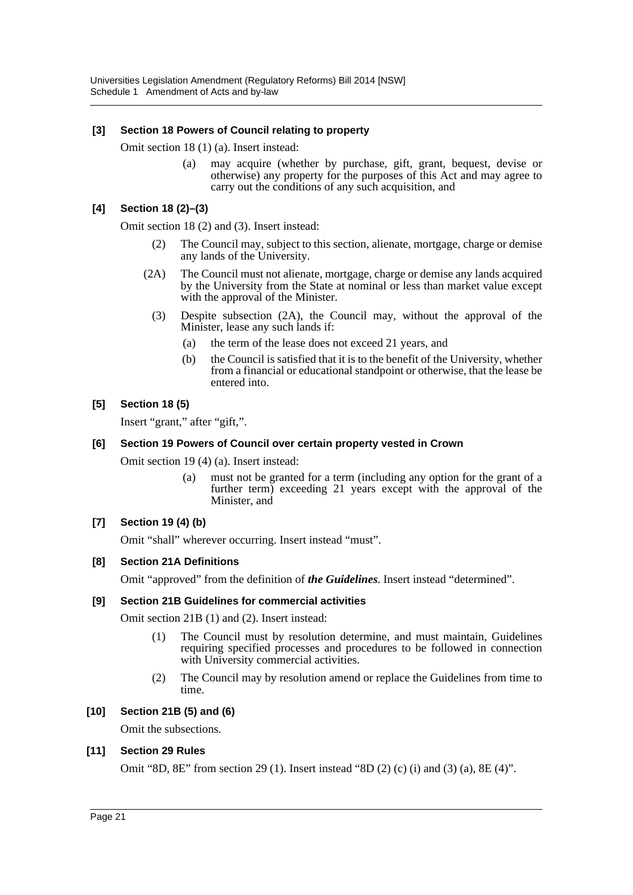### **[3] Section 18 Powers of Council relating to property**

Omit section 18 (1) (a). Insert instead:

(a) may acquire (whether by purchase, gift, grant, bequest, devise or otherwise) any property for the purposes of this Act and may agree to carry out the conditions of any such acquisition, and

## **[4] Section 18 (2)–(3)**

Omit section 18 (2) and (3). Insert instead:

- (2) The Council may, subject to this section, alienate, mortgage, charge or demise any lands of the University.
- (2A) The Council must not alienate, mortgage, charge or demise any lands acquired by the University from the State at nominal or less than market value except with the approval of the Minister.
	- (3) Despite subsection (2A), the Council may, without the approval of the Minister, lease any such lands if:
		- (a) the term of the lease does not exceed 21 years, and
		- (b) the Council is satisfied that it is to the benefit of the University, whether from a financial or educational standpoint or otherwise, that the lease be entered into.

### **[5] Section 18 (5)**

Insert "grant," after "gift,".

#### **[6] Section 19 Powers of Council over certain property vested in Crown**

Omit section 19 (4) (a). Insert instead:

(a) must not be granted for a term (including any option for the grant of a further term) exceeding 21 years except with the approval of the Minister, and

#### **[7] Section 19 (4) (b)**

Omit "shall" wherever occurring. Insert instead "must".

#### **[8] Section 21A Definitions**

Omit "approved" from the definition of *the Guidelines*. Insert instead "determined".

#### **[9] Section 21B Guidelines for commercial activities**

Omit section 21B (1) and (2). Insert instead:

- (1) The Council must by resolution determine, and must maintain, Guidelines requiring specified processes and procedures to be followed in connection with University commercial activities.
- (2) The Council may by resolution amend or replace the Guidelines from time to time.

#### **[10] Section 21B (5) and (6)**

Omit the subsections.

#### **[11] Section 29 Rules**

Omit "8D, 8E" from section 29 (1). Insert instead "8D (2) (c) (i) and (3) (a), 8E (4)".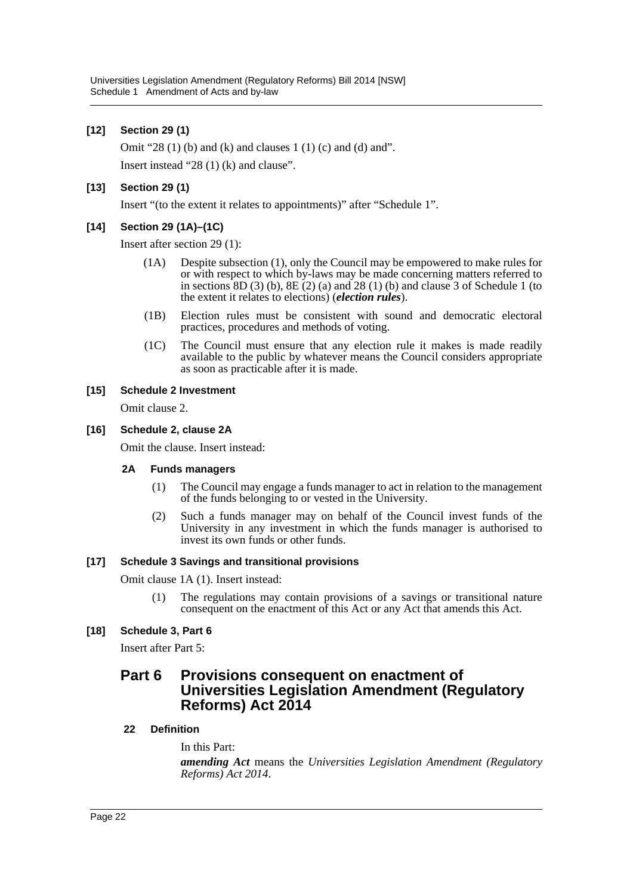## **[12] Section 29 (1)**

Omit "28 $(1)$  $(b)$  and  $(k)$  and clauses 1 $(1)$  $(c)$  and  $(d)$  and".

Insert instead "28 (1) (k) and clause".

### **[13] Section 29 (1)**

Insert "(to the extent it relates to appointments)" after "Schedule 1".

### **[14] Section 29 (1A)–(1C)**

Insert after section 29 (1):

- (1A) Despite subsection (1), only the Council may be empowered to make rules for or with respect to which by-laws may be made concerning matters referred to in sections  $8D(3)$  (b),  $8E(2)$  (a) and  $28(1)$  (b) and clause 3 of Schedule 1 (to the extent it relates to elections) (*election rules*).
- (1B) Election rules must be consistent with sound and democratic electoral practices, procedures and methods of voting.
- (1C) The Council must ensure that any election rule it makes is made readily available to the public by whatever means the Council considers appropriate as soon as practicable after it is made.

#### **[15] Schedule 2 Investment**

Omit clause 2.

#### **[16] Schedule 2, clause 2A**

Omit the clause. Insert instead:

#### **2A Funds managers**

- (1) The Council may engage a funds manager to act in relation to the management of the funds belonging to or vested in the University.
- (2) Such a funds manager may on behalf of the Council invest funds of the University in any investment in which the funds manager is authorised to invest its own funds or other funds.

#### **[17] Schedule 3 Savings and transitional provisions**

Omit clause 1A (1). Insert instead:

(1) The regulations may contain provisions of a savings or transitional nature consequent on the enactment of this Act or any Act that amends this Act.

#### **[18] Schedule 3, Part 6**

Insert after Part 5:

# **Part 6 Provisions consequent on enactment of Universities Legislation Amendment (Regulatory Reforms) Act 2014**

#### **22 Definition**

In this Part:

*amending Act* means the *Universities Legislation Amendment (Regulatory Reforms) Act 2014*.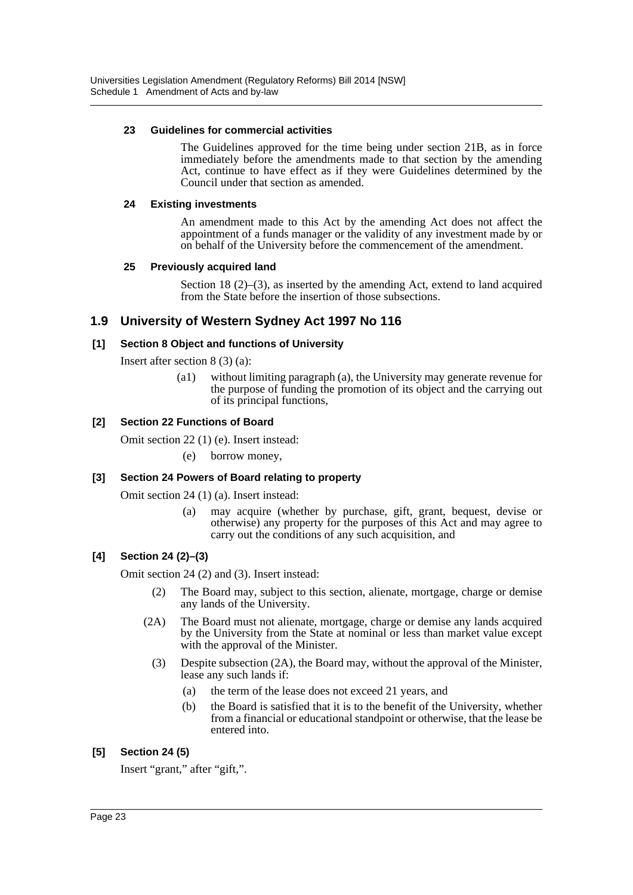#### **23 Guidelines for commercial activities**

The Guidelines approved for the time being under section 21B, as in force immediately before the amendments made to that section by the amending Act, continue to have effect as if they were Guidelines determined by the Council under that section as amended.

### **24 Existing investments**

An amendment made to this Act by the amending Act does not affect the appointment of a funds manager or the validity of any investment made by or on behalf of the University before the commencement of the amendment.

# **25 Previously acquired land**

Section 18 (2)–(3), as inserted by the amending Act, extend to land acquired from the State before the insertion of those subsections.

# **1.9 University of Western Sydney Act 1997 No 116**

### **[1] Section 8 Object and functions of University**

Insert after section 8 (3) (a):

(a1) without limiting paragraph (a), the University may generate revenue for the purpose of funding the promotion of its object and the carrying out of its principal functions,

### **[2] Section 22 Functions of Board**

Omit section 22 (1) (e). Insert instead:

(e) borrow money,

# **[3] Section 24 Powers of Board relating to property**

Omit section 24 (1) (a). Insert instead:

(a) may acquire (whether by purchase, gift, grant, bequest, devise or otherwise) any property for the purposes of this Act and may agree to carry out the conditions of any such acquisition, and

# **[4] Section 24 (2)–(3)**

Omit section 24 (2) and (3). Insert instead:

- (2) The Board may, subject to this section, alienate, mortgage, charge or demise any lands of the University.
- (2A) The Board must not alienate, mortgage, charge or demise any lands acquired by the University from the State at nominal or less than market value except with the approval of the Minister.
	- (3) Despite subsection (2A), the Board may, without the approval of the Minister, lease any such lands if:
		- (a) the term of the lease does not exceed 21 years, and
		- (b) the Board is satisfied that it is to the benefit of the University, whether from a financial or educational standpoint or otherwise, that the lease be entered into.

# **[5] Section 24 (5)**

Insert "grant," after "gift,".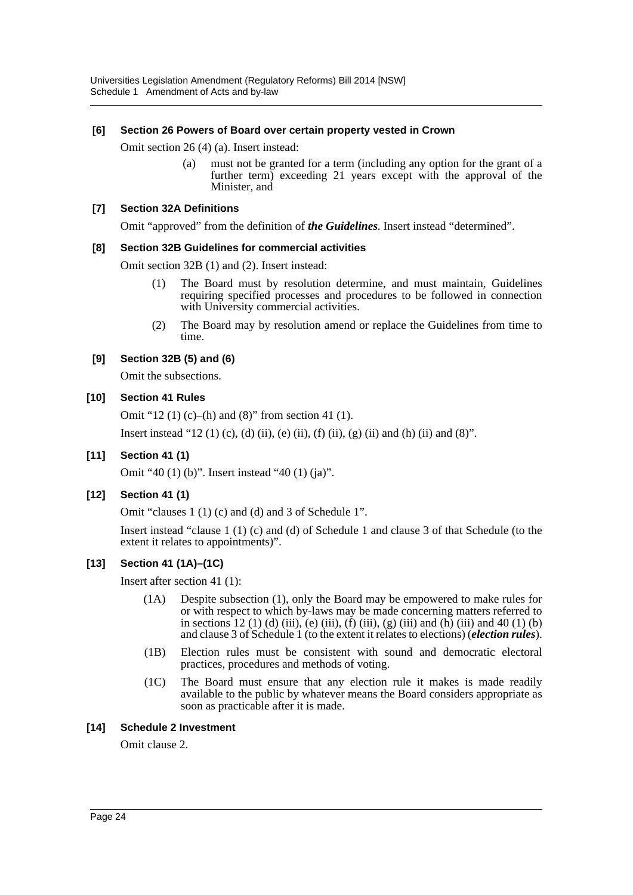# **[6] Section 26 Powers of Board over certain property vested in Crown**

Omit section 26 (4) (a). Insert instead:

(a) must not be granted for a term (including any option for the grant of a further term) exceeding 21 years except with the approval of the Minister, and

#### **[7] Section 32A Definitions**

Omit "approved" from the definition of *the Guidelines*. Insert instead "determined".

### **[8] Section 32B Guidelines for commercial activities**

Omit section 32B (1) and (2). Insert instead:

- (1) The Board must by resolution determine, and must maintain, Guidelines requiring specified processes and procedures to be followed in connection with University commercial activities.
- (2) The Board may by resolution amend or replace the Guidelines from time to time.

# **[9] Section 32B (5) and (6)**

Omit the subsections.

# **[10] Section 41 Rules**

Omit "12 (1) (c)–(h) and (8)" from section 41 (1).

Insert instead "12 (1) (c), (d) (ii), (e) (ii), (f) (ii), (g) (ii) and (h) (ii) and (8)".

# **[11] Section 41 (1)**

Omit "40 (1) (b)". Insert instead "40 (1) (ja)".

#### **[12] Section 41 (1)**

Omit "clauses 1 (1) (c) and (d) and 3 of Schedule 1".

Insert instead "clause 1 (1) (c) and (d) of Schedule 1 and clause 3 of that Schedule (to the extent it relates to appointments)".

# **[13] Section 41 (1A)–(1C)**

Insert after section 41 (1):

- (1A) Despite subsection (1), only the Board may be empowered to make rules for or with respect to which by-laws may be made concerning matters referred to in sections 12 (1) (d) (iii), (e) (iii), (f) (iii), (g) (iii) and (h) (iii) and 40 (1) (b) and clause 3 of Schedule 1 (to the extent it relates to elections) (*election rules*).
- (1B) Election rules must be consistent with sound and democratic electoral practices, procedures and methods of voting.
- (1C) The Board must ensure that any election rule it makes is made readily available to the public by whatever means the Board considers appropriate as soon as practicable after it is made.

#### **[14] Schedule 2 Investment**

Omit clause 2.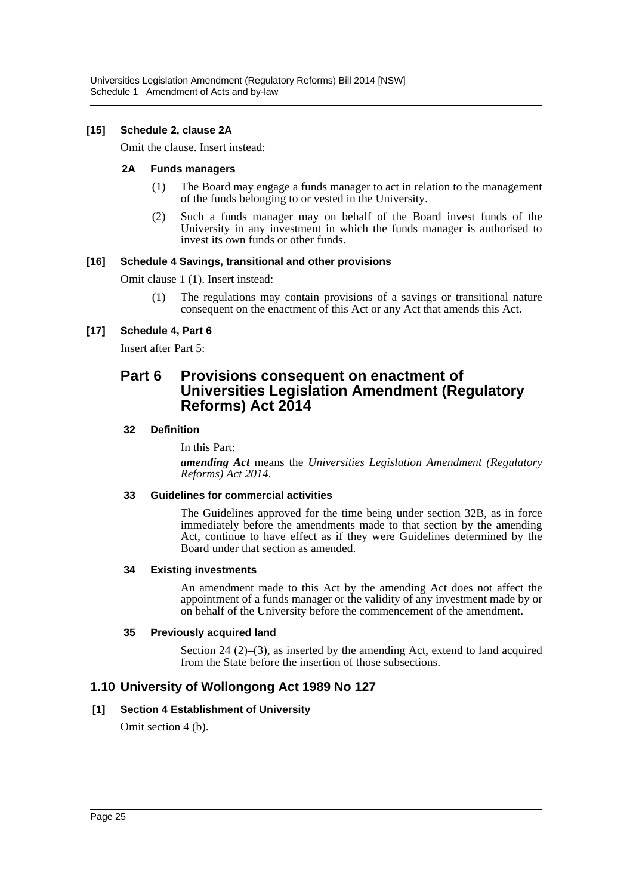### **[15] Schedule 2, clause 2A**

Omit the clause. Insert instead:

#### **2A Funds managers**

- (1) The Board may engage a funds manager to act in relation to the management of the funds belonging to or vested in the University.
- (2) Such a funds manager may on behalf of the Board invest funds of the University in any investment in which the funds manager is authorised to invest its own funds or other funds.

#### **[16] Schedule 4 Savings, transitional and other provisions**

Omit clause 1 (1). Insert instead:

(1) The regulations may contain provisions of a savings or transitional nature consequent on the enactment of this Act or any Act that amends this Act.

### **[17] Schedule 4, Part 6**

Insert after Part 5:

# **Part 6 Provisions consequent on enactment of Universities Legislation Amendment (Regulatory Reforms) Act 2014**

#### **32 Definition**

In this Part:

*amending Act* means the *Universities Legislation Amendment (Regulatory Reforms) Act 2014*.

## **33 Guidelines for commercial activities**

The Guidelines approved for the time being under section 32B, as in force immediately before the amendments made to that section by the amending Act, continue to have effect as if they were Guidelines determined by the Board under that section as amended.

#### **34 Existing investments**

An amendment made to this Act by the amending Act does not affect the appointment of a funds manager or the validity of any investment made by or on behalf of the University before the commencement of the amendment.

#### **35 Previously acquired land**

Section 24 (2)–(3), as inserted by the amending Act, extend to land acquired from the State before the insertion of those subsections.

# **1.10 University of Wollongong Act 1989 No 127**

#### **[1] Section 4 Establishment of University**

Omit section 4 (b).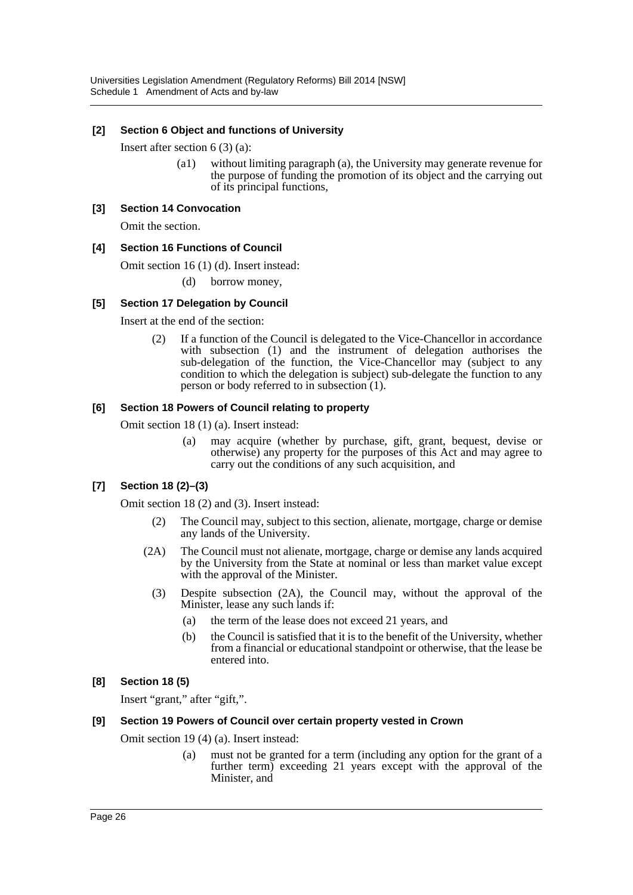### **[2] Section 6 Object and functions of University**

Insert after section 6 (3) (a):

(a1) without limiting paragraph (a), the University may generate revenue for the purpose of funding the promotion of its object and the carrying out of its principal functions,

#### **[3] Section 14 Convocation**

Omit the section.

### **[4] Section 16 Functions of Council**

Omit section 16 (1) (d). Insert instead:

(d) borrow money,

### **[5] Section 17 Delegation by Council**

Insert at the end of the section:

(2) If a function of the Council is delegated to the Vice-Chancellor in accordance with subsection (1) and the instrument of delegation authorises the sub-delegation of the function, the Vice-Chancellor may (subject to any condition to which the delegation is subject) sub-delegate the function to any person or body referred to in subsection (1).

#### **[6] Section 18 Powers of Council relating to property**

Omit section 18 (1) (a). Insert instead:

(a) may acquire (whether by purchase, gift, grant, bequest, devise or otherwise) any property for the purposes of this Act and may agree to carry out the conditions of any such acquisition, and

# **[7] Section 18 (2)–(3)**

Omit section 18 (2) and (3). Insert instead:

- (2) The Council may, subject to this section, alienate, mortgage, charge or demise any lands of the University.
- (2A) The Council must not alienate, mortgage, charge or demise any lands acquired by the University from the State at nominal or less than market value except with the approval of the Minister.
	- (3) Despite subsection (2A), the Council may, without the approval of the Minister, lease any such lands if:
		- (a) the term of the lease does not exceed 21 years, and
		- (b) the Council is satisfied that it is to the benefit of the University, whether from a financial or educational standpoint or otherwise, that the lease be entered into.

# **[8] Section 18 (5)**

Insert "grant," after "gift,".

#### **[9] Section 19 Powers of Council over certain property vested in Crown**

Omit section 19 (4) (a). Insert instead:

(a) must not be granted for a term (including any option for the grant of a further term) exceeding 21 years except with the approval of the Minister, and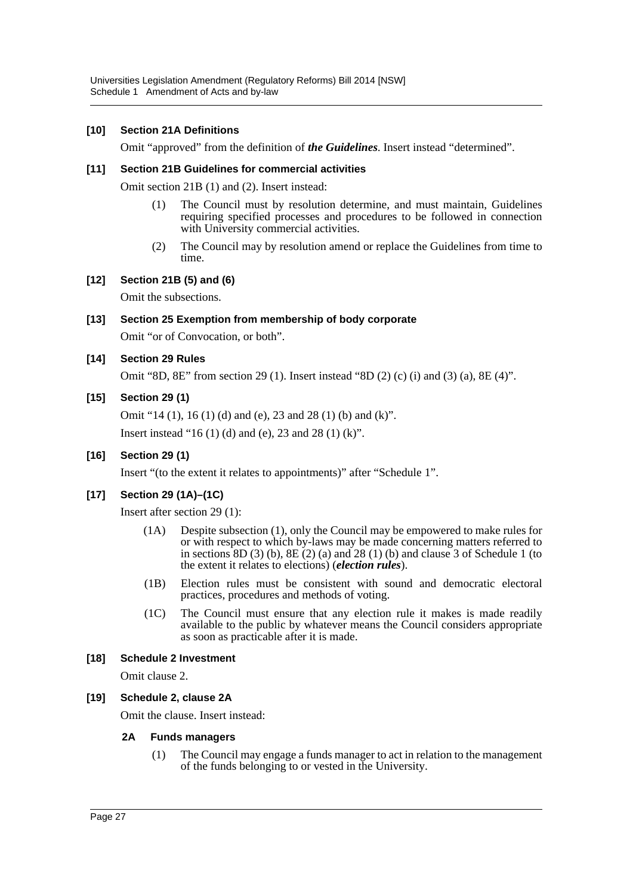## **[10] Section 21A Definitions**

Omit "approved" from the definition of *the Guidelines*. Insert instead "determined".

#### **[11] Section 21B Guidelines for commercial activities**

Omit section 21B (1) and (2). Insert instead:

- (1) The Council must by resolution determine, and must maintain, Guidelines requiring specified processes and procedures to be followed in connection with University commercial activities.
- (2) The Council may by resolution amend or replace the Guidelines from time to time.

#### **[12] Section 21B (5) and (6)**

Omit the subsections.

# **[13] Section 25 Exemption from membership of body corporate** Omit "or of Convocation, or both".

#### **[14] Section 29 Rules**

Omit "8D, 8E" from section 29 (1). Insert instead "8D (2) (c) (i) and (3) (a), 8E (4)".

#### **[15] Section 29 (1)**

Omit "14 (1), 16 (1) (d) and (e), 23 and 28 (1) (b) and (k)".

Insert instead "16 (1) (d) and (e), 23 and 28 (1) (k)".

#### **[16] Section 29 (1)**

Insert "(to the extent it relates to appointments)" after "Schedule 1".

#### **[17] Section 29 (1A)–(1C)**

Insert after section 29 (1):

- (1A) Despite subsection (1), only the Council may be empowered to make rules for or with respect to which by-laws may be made concerning matters referred to in sections  $8D(3)$  (b),  $8E(2)$  (a) and  $28(1)$  (b) and clause 3 of Schedule 1 (to the extent it relates to elections) (*election rules*).
- (1B) Election rules must be consistent with sound and democratic electoral practices, procedures and methods of voting.
- (1C) The Council must ensure that any election rule it makes is made readily available to the public by whatever means the Council considers appropriate as soon as practicable after it is made.

#### **[18] Schedule 2 Investment**

Omit clause 2.

#### **[19] Schedule 2, clause 2A**

Omit the clause. Insert instead:

#### **2A Funds managers**

(1) The Council may engage a funds manager to act in relation to the management of the funds belonging to or vested in the University.